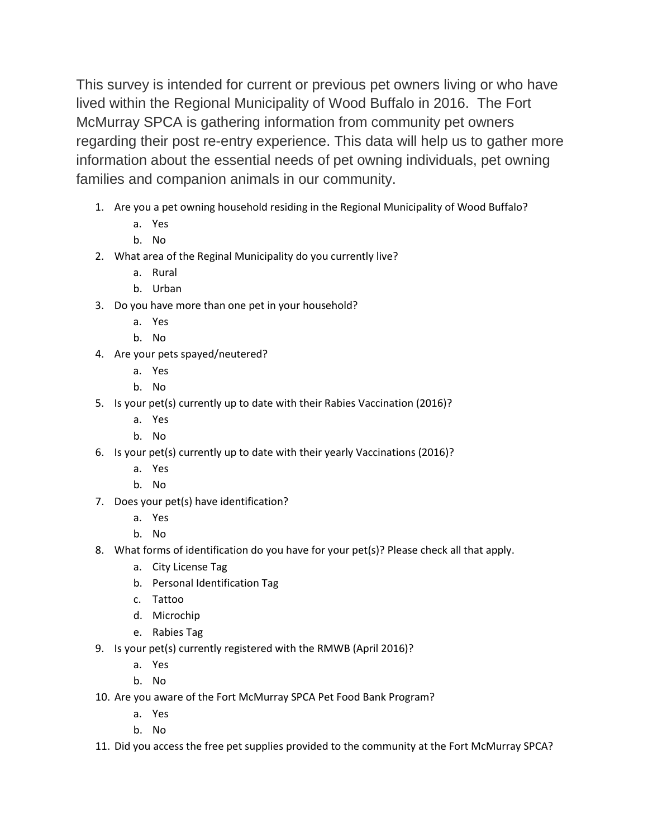This survey is intended for current or previous pet owners living or who have lived within the Regional Municipality of Wood Buffalo in 2016. The Fort McMurray SPCA is gathering information from community pet owners regarding their post re-entry experience. This data will help us to gather more information about the essential needs of pet owning individuals, pet owning families and companion animals in our community.

- 1. Are you a pet owning household residing in the Regional Municipality of Wood Buffalo?
	- a. Yes
	- b. No
- 2. What area of the Reginal Municipality do you currently live?
	- a. Rural
	- b. Urban
- 3. Do you have more than one pet in your household?
	- a. Yes
	- b. No
- 4. Are your pets spayed/neutered?
	- a. Yes
	- b. No
- 5. Is your pet(s) currently up to date with their Rabies Vaccination (2016)?
	- a. Yes
	- b. No
- 6. Is your pet(s) currently up to date with their yearly Vaccinations (2016)?
	- a. Yes
	- b. No
- 7. Does your pet(s) have identification?
	- a. Yes
	- b. No
- 8. What forms of identification do you have for your pet(s)? Please check all that apply.
	- a. City License Tag
	- b. Personal Identification Tag
	- c. Tattoo
	- d. Microchip
	- e. Rabies Tag
- 9. Is your pet(s) currently registered with the RMWB (April 2016)?
	- a. Yes
	- b. No
- 10. Are you aware of the Fort McMurray SPCA Pet Food Bank Program?
	- a. Yes
	- b. No
- 11. Did you access the free pet supplies provided to the community at the Fort McMurray SPCA?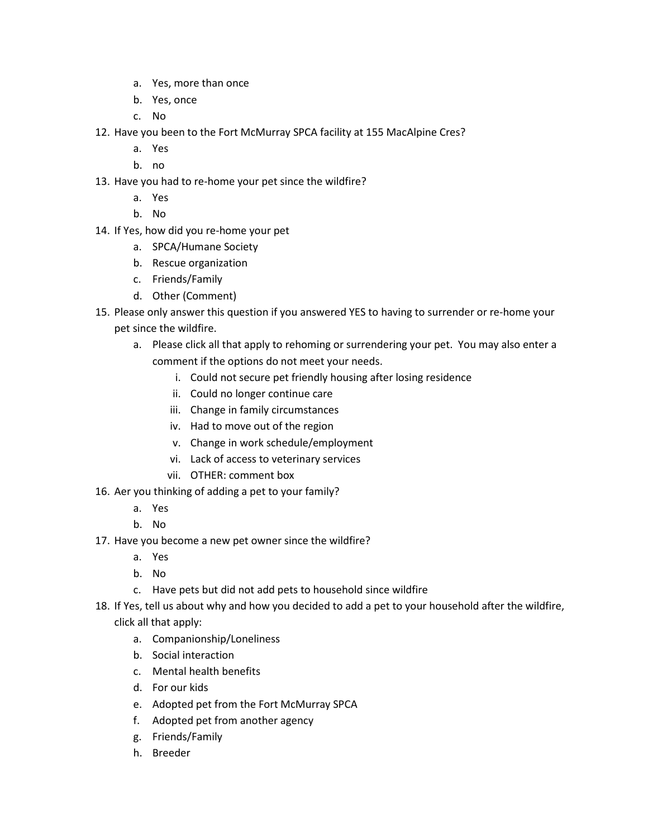- a. Yes, more than once
- b. Yes, once
- c. No
- 12. Have you been to the Fort McMurray SPCA facility at 155 MacAlpine Cres?
	- a. Yes
	- b. no
- 13. Have you had to re-home your pet since the wildfire?
	- a. Yes
	- b. No
- 14. If Yes, how did you re-home your pet
	- a. SPCA/Humane Society
	- b. Rescue organization
	- c. Friends/Family
	- d. Other (Comment)
- 15. Please only answer this question if you answered YES to having to surrender or re-home your pet since the wildfire.
	- a. Please click all that apply to rehoming or surrendering your pet. You may also enter a comment if the options do not meet your needs.
		- i. Could not secure pet friendly housing after losing residence
		- ii. Could no longer continue care
		- iii. Change in family circumstances
		- iv. Had to move out of the region
		- v. Change in work schedule/employment
		- vi. Lack of access to veterinary services
		- vii. OTHER: comment box
- 16. Aer you thinking of adding a pet to your family?
	- a. Yes
	- b. No
- 17. Have you become a new pet owner since the wildfire?
	- a. Yes
	- b. No
	- c. Have pets but did not add pets to household since wildfire
- 18. If Yes, tell us about why and how you decided to add a pet to your household after the wildfire, click all that apply:
	- a. Companionship/Loneliness
	- b. Social interaction
	- c. Mental health benefits
	- d. For our kids
	- e. Adopted pet from the Fort McMurray SPCA
	- f. Adopted pet from another agency
	- g. Friends/Family
	- h. Breeder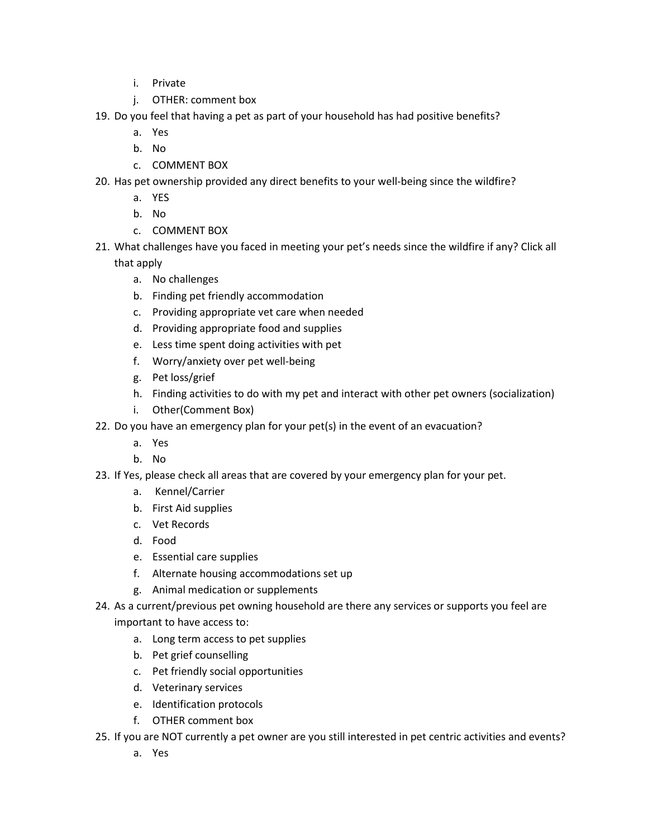- i. Private
- j. OTHER: comment box
- 19. Do you feel that having a pet as part of your household has had positive benefits?
	- a. Yes
	- b. No
	- c. COMMENT BOX
- 20. Has pet ownership provided any direct benefits to your well-being since the wildfire?
	- a. YES
	- b. No
	- c. COMMENT BOX
- 21. What challenges have you faced in meeting your pet's needs since the wildfire if any? Click all that apply
	- a. No challenges
	- b. Finding pet friendly accommodation
	- c. Providing appropriate vet care when needed
	- d. Providing appropriate food and supplies
	- e. Less time spent doing activities with pet
	- f. Worry/anxiety over pet well-being
	- g. Pet loss/grief
	- h. Finding activities to do with my pet and interact with other pet owners (socialization)
	- i. Other(Comment Box)
- 22. Do you have an emergency plan for your pet(s) in the event of an evacuation?
	- a. Yes
	- b. No
- 23. If Yes, please check all areas that are covered by your emergency plan for your pet.
	- a. Kennel/Carrier
	- b. First Aid supplies
	- c. Vet Records
	- d. Food
	- e. Essential care supplies
	- f. Alternate housing accommodations set up
	- g. Animal medication or supplements
- 24. As a current/previous pet owning household are there any services or supports you feel are important to have access to:
	- a. Long term access to pet supplies
	- b. Pet grief counselling
	- c. Pet friendly social opportunities
	- d. Veterinary services
	- e. Identification protocols
	- f. OTHER comment box
- 25. If you are NOT currently a pet owner are you still interested in pet centric activities and events?
	- a. Yes